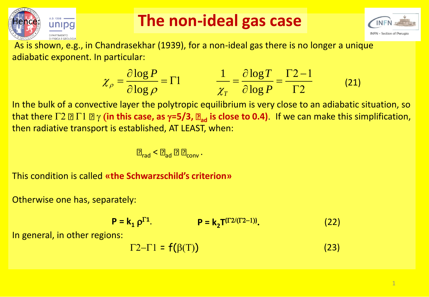

#### **The non-ideal gas case**



As is shown, e.g., in Chandrasekhar (1939), for a non-ideal gas there is no longer a unique adiabatic exponent. In particular:

$$
\chi_{\rho} = \frac{\partial \log P}{\partial \log \rho} = \Gamma 1 \qquad \qquad \frac{1}{\chi_{T}} = \frac{\partial \log T}{\partial \log P} = \frac{\Gamma 2 - 1}{\Gamma 2} \tag{21}
$$

In the bulk of a convective layer the polytropic equilibrium is very close to an adiabatic situation, so that there  $\Gamma$ 2  $\Box$   $\Gamma$ 1  $\Box$   $\gamma$  (in this case, as  $\gamma$ =5/3,  $\Box_{ad}$  is close to 0.4). If we can make this simplification, then radiative transport is established, AT LEAST, when:

$$
\boxed{\underline{\mathbf{P}}_{\text{rad}} < \boxed{\mathbf{P}_{\text{ad}} \ \boxed{\mathbf{P}} \ \boxed{\mathbf{P}_{\text{conv}} \ .}
$$

This condition is called **«the Schwarzschild's criterion»**

Otherwise one has, separately:

$$
P = k_1 \rho^{\Gamma 1}.
$$
 (22)

In general, in other regions:

$$
\Gamma 2 - \Gamma 1 = f(\beta(T)) \tag{23}
$$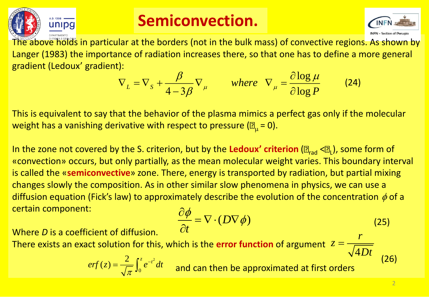

### **Semiconvection.**



The above holds in particular at the borders (not in the bulk mass) of convective regions. As shown by Langer (1983) the importance of radiation increases there, so that one has to define a more general gradient (Ledoux' gradient):

$$
\nabla_L = \nabla_S + \frac{\beta}{4 - 3\beta} \nabla_\mu \qquad \text{where} \quad \nabla_\mu = \frac{\partial \log \mu}{\partial \log P} \tag{24}
$$

This is equivalent to say that the behavior of the plasma mimics a perfect gas only if the molecular weight has a vanishing derivative with respect to pressure ( $\mathbb{E}_{\mu}$  = 0).

ln the zone not covered by the S. criterion, but by the **Ledoux' criterion** (2  $_{\rm rad}$  <2  $_{\rm l}$ ), some form of «convection» occurs, but only partially, as the mean molecular weight varies. This boundary interval is called the «**semiconvective**» zone. There, energy is transported by radiation, but partial mixing changes slowly the composition. As in other similar slow phenomena in physics, we can use a diffusion equation (Fick's law) to approximately describe the evolution of the concentration  $\phi$  of a certain component:  $\frac{\beta}{\beta - 3\beta} \nabla_{\mu}$  where  $\nabla_{\mu} = \frac{\partial \log \mu}{\partial \log P}$  (24<br>
r of the plasma mimics a perfect gas only if the<br>
spect to pressure ( $\mathbb{Z}_{\mu} = 0$ ).<br>
n, but by the **Ledoux' criterion** ( $\mathbb{Z}_{\text{rad}} < \mathbb{Z}_{\text{L}}$ ), som<br>
s the

$$
\frac{\partial \phi}{\partial t} = \nabla \cdot (D \nabla \phi) \tag{25}
$$

Where *D* is a coefficient of diffusion.

There exists an exact solution for this, which is the **error function** of argument  $4Dt$ *z* =

2  $0$  and  $\sim$  $2$  rz  $$  $erf(z) = \frac{2}{\sqrt{z}} \int_{0}^{z} e^{-t^2} dt$  $\pi$  .  $\sim$  $=$   $\frac{\partial}{\partial t}$  $\int_0^z e^{-t^2}$ 

(26)

*r*

*Dt*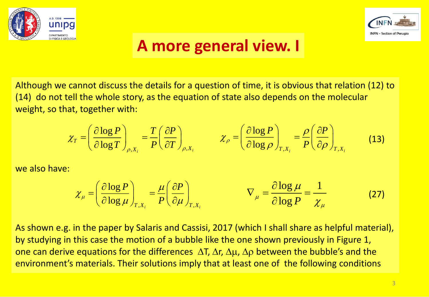



### **A more general view. I**

Although we cannot discuss the details for a question of time, it is obvious that relation (12) to (14) do not tell the whole story, as the equation of state also depends on the molecular weight, so that, together with: **A more g**<br>
uss the details for a q<br>
e story, as the equati<br>
with:<br>  $\frac{P}{T}\bigg)_{\rho, X_i} = \frac{T}{P} \left(\frac{\partial P}{\partial T}\right)_{\rho, X_i}$ *T P T* **A more general view.** I<br>
ot discuss the details for a question of time, it is obvious that re<br>
whole story, as the equation of state also depends on the mige<br>
gether with:<br>  $\left(\frac{\partial \log P}{\partial \log T}\right)_{\rho, x_i} = \frac{T}{P} \left(\frac{\partial P}{\partial T}\right)$ **A more general view. I**<br>
not discuss the details for a question of time, it is obvious that rel<br>
the whole story, as the equation of state also depends on the mold<br>
together with:<br>  $= \left(\frac{\partial \log P}{\partial \log T}\right)_{\rho, x_i} = \frac{T}{P} \left(\frac{\$ **12** *ne, it is obvious that rela*<br> **12** *nog P n* **<b>***n n n* **<b>***n n n n n n n n n n n n n n n n n n n n n n n n* **PW. I**<br>*it is obvious that relat*<br>epends on the molec<br> $\frac{P}{\rho}\bigg)_{T,X_i} = \frac{\rho}{P} \left(\frac{\partial P}{\partial \rho}\right)_{T,X_i}$ **EW.** I<br>
it is obvious that relation (12) to<br>
epends on the molecular<br>  $\frac{P}{\rho}\bigg|_{T,X_i} = \frac{\rho}{P} \left(\frac{\partial P}{\partial \rho}\right)_{T,X_i}$  (13) **Solution 1988**<br> **Solution 1989**<br> **Solution 1989**<br> **Solution 1989**<br> **Solution 1989**<br> **Solution 1989**<br> **Solution 1989**<br> **Solution 1989**<br> **Solution 1989**<br> **Solution 1989**<br> **Solution 1989**<br> **Solution 1989**<br> **Solution 1989**<br> **CONTRACT CONTROVERSE SURVEY AND SURVEY CONTROLLED SURVEY SURVEY SURVEY SURVEY CONTROLLED TO THE RESPONSE OF PRINTIPE SURVEY CONTROLLED TO THE RESPONSE OF PRINT CONTROLLED TO THE RESPONSE OF PRINT CONTROLLED TO THE RESPON** 

$$
\chi_{T} = \left(\frac{\partial \log P}{\partial \log T}\right)_{\rho, X_{i}} = \frac{T}{P} \left(\frac{\partial P}{\partial T}\right)_{\rho, X_{i}} \qquad \chi_{\rho} = \left(\frac{\partial \log P}{\partial \log \rho}\right)_{T, X_{i}} = \frac{\rho}{P} \left(\frac{\partial P}{\partial \rho}\right)_{T, X_{i}} \qquad (13)
$$

we also have:

$$
\chi_{\mu} = \left(\frac{\partial \log P}{\partial \log \mu}\right)_{T, X_i} = \frac{\mu}{P} \left(\frac{\partial P}{\partial \mu}\right)_{T, X_i} \qquad \qquad \nabla_{\mu} = \frac{\partial \log \mu}{\partial \log P} = \frac{1}{\chi_{\mu}}
$$
(27)

As shown e.g. in the paper by Salaris and Cassisi, 2017 (which I shall share as helpful material), by studying in this case the motion of a bubble like the one shown previously in Figure 1, one can derive equations for the differences  $\Delta T$ ,  $\Delta r$ ,  $\Delta \mu$ ,  $\Delta \rho$  between the bubble's and the environment's materials. Their solutions imply that at least one of the following conditions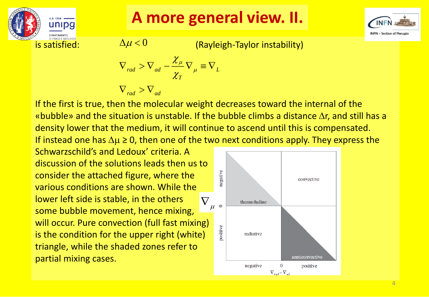

**A more general view. II.**



 $\Delta \mu$   $<$   $0$ (Rayleigh-Taylor instability)

$$
\nabla_{rad} > \nabla_{ad} - \frac{\chi_{\mu}}{\chi_{T}} \nabla_{\mu} \equiv \nabla_{L}
$$

$$
\nabla_{rad} > \nabla_{ad}
$$

If the first is true, then the molecular weight decreases toward the internal of the «bubble» and the situation is unstable. If the bubble climbs a distance  $\Delta r$ , and still has a density lower that the medium, it will continue to ascend until this is compensated. If instead one has  $\Delta \mu \geq 0$ , then one of the two next conditions apply. They express the

Schwarzschild's and Ledoux' criteria. A discussion of the solutions leads then us to consider the attached figure, where the various conditions are shown. While the lower left side is stable, in the others some bubble movement, hence mixing, will occur. Pure convection (full fast mixing) is the condition for the upper right (white) triangle, while the shaded zones refer to is satisfied:<br>  $\Delta \mu < 0$ <br>  $\nabla_{rad} > \nabla_{ad}$ <br>
If the first is true, then the molec<br>
«bubble» and the situation is un:<br>
density lower that the medium, if<br>
If instead one has  $\Delta \mu \ge 0$ , then of<br>
Schwarzschild's and Ledoux' c

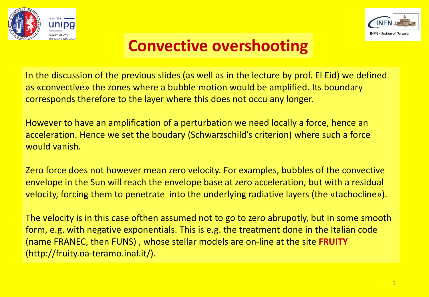



## **Convective overshooting**

In the discussion of the previous slides (as well as in the lecture by prof. El Eid) we defined as «convective» the zones where a bubble motion would be amplified. Its boundary corresponds therefore to the layer where this does not occu any longer.

However to have an amplification of a perturbation we need locally a force, hence an acceleration. Hence we set the boudary (Schwarzschild's criterion) where such a force would vanish.

Zero force does not however mean zero velocity. For examples, bubbles of the convective envelope in the Sun will reach the envelope base at zero acceleration, but with a residual velocity, forcing them to penetrate into the underlying radiative layers (the «tachocline»).

The velocity is in this case ofthen assumed not to go to zero abrupotly, but in some smooth form, e.g. with negative exponentials. This is e.g. the treatment done in the Italian code (name FRANEC, then FUNS) , whose stellar models are on-line at the site **FRUITY**  (http://fruity.oa-teramo.inaf.it/).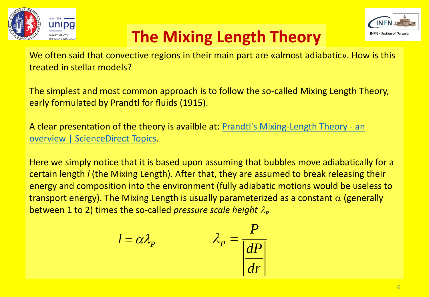



# **The Mixing Length Theory**

We often said that convective regions in their main part are «almost adiabatic». How is this treated in stellar models?

The simplest and most common approach is to follow the so-called Mixing Length Theory, early formulated by Prandtl for fluids (1915).

[A clear presentation of the theory is availble at: Prandtl's Mixing-Length Theory -](https://www.sciencedirect.com/topics/engineering/prandtls-mixing-length-theory) an overview | ScienceDirect Topics.

Here we simply notice that it is based upon assuming that bubbles move adiabatically for a certain length *l* (the Mixing Length). After that, they are assumed to break releasing their energy and composition into the environment (fully adiabatic motions would be useless to transport energy). The Mixing Length is usually parameterized as a constant  $\alpha$  (generally between 1 to 2) times the so-called *pressure scale height*  $\lambda_{p}$ 

$$
l = \alpha \lambda_p \qquad \qquad \lambda_p = \frac{P}{\left| \frac{dP}{dr} \right|}
$$